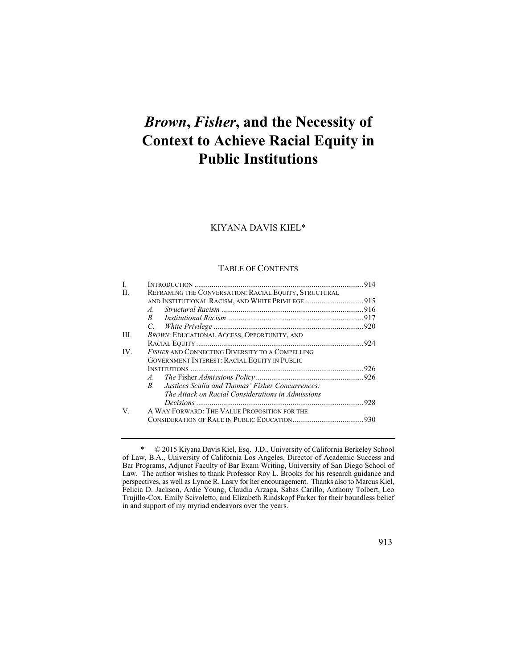# *Brown***,** *Fisher***, and the Necessity of Context to Achieve Racial Equity in Public Institutions**

#### KIYANA DAVIS KIEL\*

#### TABLE OF CONTENTS

| I.   |                                                                 |  |
|------|-----------------------------------------------------------------|--|
| H.   | REFRAMING THE CONVERSATION: RACIAL EQUITY, STRUCTURAL           |  |
|      | AND INSTITUTIONAL RACISM, AND WHITE PRIVILEGE915                |  |
|      | $\overline{A}$                                                  |  |
|      | B                                                               |  |
|      |                                                                 |  |
| III. | <b>BROWN: EDUCATIONAL ACCESS, OPPORTUNITY, AND</b>              |  |
|      |                                                                 |  |
| IV.  | <b>FISHER AND CONNECTING DIVERSITY TO A COMPELLING</b>          |  |
|      | <b>GOVERNMENT INTEREST: RACIAL EQUITY IN PUBLIC</b>             |  |
|      |                                                                 |  |
|      |                                                                 |  |
|      | Justices Scalia and Thomas' Fisher Concurrences:<br>$R_{\perp}$ |  |
|      | The Attack on Racial Considerations in Admissions               |  |
|      |                                                                 |  |
| V.   | A WAY FORWARD: THE VALUE PROPOSITION FOR THE                    |  |
|      |                                                                 |  |

<sup>\* © 2015</sup> Kiyana Davis Kiel, Esq. J.D., University of California Berkeley School of Law, B.A., University of California Los Angeles, Director of Academic Success and Bar Programs, Adjunct Faculty of Bar Exam Writing, University of San Diego School of Law. The author wishes to thank Professor Roy L. Brooks for his research guidance and perspectives, as well as Lynne R. Lasry for her encouragement. Thanks also to Marcus Kiel, Felicia D. Jackson, Ardie Young, Claudia Arzaga, Sabas Carillo, Anthony Tolbert, Leo Trujillo-Cox, Emily Scivoletto, and Elizabeth Rindskopf Parker for their boundless belief in and support of my myriad endeavors over the years.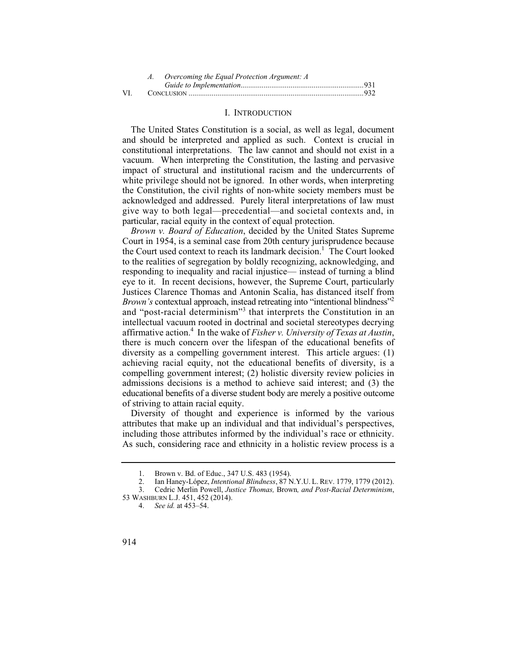|     | A. Overcoming the Equal Protection Argument: A |  |  |
|-----|------------------------------------------------|--|--|
|     |                                                |  |  |
| VI. |                                                |  |  |

#### I. INTRODUCTION

The United States Constitution is a social, as well as legal, document and should be interpreted and applied as such. Context is crucial in constitutional interpretations. The law cannot and should not exist in a vacuum. When interpreting the Constitution, the lasting and pervasive impact of structural and institutional racism and the undercurrents of white privilege should not be ignored. In other words, when interpreting the Constitution, the civil rights of non-white society members must be acknowledged and addressed. Purely literal interpretations of law must give way to both legal—precedential—and societal contexts and, in particular, racial equity in the context of equal protection.

*Brown v. Board of Education*, decided by the United States Supreme Court in 1954, is a seminal case from 20th century jurisprudence because the Court used context to reach its landmark decision.<sup>1</sup> The Court looked to the realities of segregation by boldly recognizing, acknowledging, and responding to inequality and racial injustice— instead of turning a blind eye to it. In recent decisions, however, the Supreme Court, particularly Justices Clarence Thomas and Antonin Scalia, has distanced itself from *Brown's* contextual approach, instead retreating into "intentional blindness"<sup>2</sup> and "post-racial determinism"<sup>3</sup> that interprets the Constitution in an intellectual vacuum rooted in doctrinal and societal stereotypes decrying affirmative action.4 In the wake of *Fisher v. University of Texas at Austin*, there is much concern over the lifespan of the educational benefits of diversity as a compelling government interest. This article argues: (1) achieving racial equity, not the educational benefits of diversity, is a compelling government interest; (2) holistic diversity review policies in admissions decisions is a method to achieve said interest; and (3) the educational benefits of a diverse student body are merely a positive outcome of striving to attain racial equity.

Diversity of thought and experience is informed by the various attributes that make up an individual and that individual's perspectives, including those attributes informed by the individual's race or ethnicity. As such, considering race and ethnicity in a holistic review process is a

<sup>1.</sup> Brown v. Bd. of Educ., 347 U.S. 483 (1954).<br>2. Ian Hanev-López. *Intentional Blindness*. 87 N

<sup>2.</sup> Ian Haney-López, *Intentional Blindness*, 87 N.Y.U. L. REV. 1779, 1779 (2012).<br>3. Cedric Merlin Powell. *Justice Thomas. Brown. and Post-Racial Determinism.* 

<sup>3.</sup> Cedric Merlin Powell, *Justice Thomas,* Brown*, and Post-Racial Determinism*, 53 WASHBURN L.J. 451, 452 (2014).

<sup>4.</sup>  *See id.* at 453–54.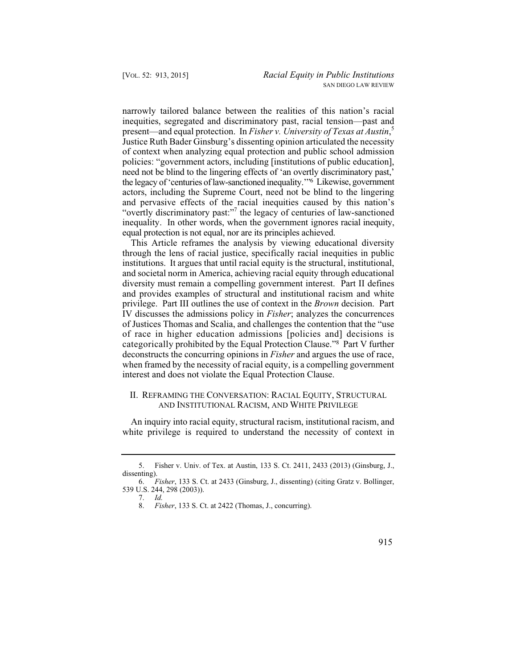inequality. In other words, when the government ignores racial inequity, narrowly tailored balance between the realities of this nation's racial inequities, segregated and discriminatory past, racial tension—past and present—and equal protection. In *Fisher v. University of Texas at Austin*, 5 Justice Ruth Bader Ginsburg's dissenting opinion articulated the necessity of context when analyzing equal protection and public school admission policies: "government actors, including [institutions of public education], need not be blind to the lingering effects of 'an overtly discriminatory past,' the legacy of 'centuries of law-sanctioned inequality.'"6 Likewise, government actors, including the Supreme Court, need not be blind to the lingering and pervasive effects of the racial inequities caused by this nation's "overtly discriminatory past:"<sup>7</sup> the legacy of centuries of law-sanctioned equal protection is not equal, nor are its principles achieved.

This Article reframes the analysis by viewing educational diversity through the lens of racial justice, specifically racial inequities in public institutions. It argues that until racial equity is the structural, institutional, and societal norm in America, achieving racial equity through educational diversity must remain a compelling government interest. Part II defines and provides examples of structural and institutional racism and white privilege. Part III outlines the use of context in the *Brown* decision. Part IV discusses the admissions policy in *Fisher*; analyzes the concurrences of Justices Thomas and Scalia, and challenges the contention that the "use of race in higher education admissions [policies and] decisions is categorically prohibited by the Equal Protection Clause."8 Part V further deconstructs the concurring opinions in *Fisher* and argues the use of race, when framed by the necessity of racial equity, is a compelling government interest and does not violate the Equal Protection Clause.

## II. REFRAMING THE CONVERSATION: RACIAL EQUITY, STRUCTURAL AND INSTITUTIONAL RACISM, AND WHITE PRIVILEGE

An inquiry into racial equity, structural racism, institutional racism, and white privilege is required to understand the necessity of context in

<sup>5.</sup> Fisher v. Univ. of Tex. at Austin, 133 S. Ct. 2411, 2433 (2013) (Ginsburg, J., dissenting).

 <sup>6.</sup> *Fisher*, 133 S. Ct. at 2433 (Ginsburg, J., dissenting) (citing Gratz v. Bollinger, 539 U.S. 244, 298 (2003)).

<sup>7.</sup> *Id.*

 <sup>8.</sup> *Fisher*, 133 S. Ct. at 2422 (Thomas, J., concurring).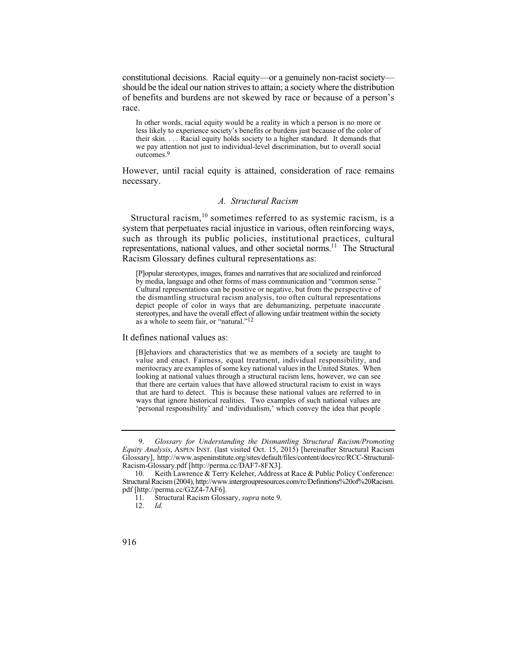constitutional decisions. Racial equity—or a genuinely non-racist society should be the ideal our nation strives to attain; a society where the distribution of benefits and burdens are not skewed by race or because of a person's race.

 In other words, racial equity would be a reality in which a person is no more or their skin. . . . Racial equity holds society to a higher standard. It demands that less likely to experience society's benefits or burdens just because of the color of we pay attention not just to individual-level discrimination, but to overall social outcomes.9

However, until racial equity is attained, consideration of race remains necessary.

#### *A. Structural Racism*

Structural racism,  $10$  sometimes referred to as systemic racism, is a system that perpetuates racial injustice in various, often reinforcing ways, such as through its public policies, institutional practices, cultural representations, national values, and other societal norms.<sup>11</sup> The Structural Racism Glossary defines cultural representations as:

 [P]opular stereotypes, images, frames and narratives that are socialized and reinforced Cultural representations can be positive or negative, but from the perspective of stereotypes, and have the overall effect of allowing unfair treatment within the society by media, language and other forms of mass communication and "common sense." the dismantling structural racism analysis, too often cultural representations depict people of color in ways that are dehumanizing, perpetuate inaccurate as a whole to seem fair, or "natural."12

It defines national values as:

 meritocracy are examples of some key national values in the United States. When that are hard to detect. This is because these national values are referred to in [B]ehaviors and characteristics that we as members of a society are taught to value and enact. Fairness, equal treatment, individual responsibility, and looking at national values through a structural racism lens, however, we can see that there are certain values that have allowed structural racism to exist in ways ways that ignore historical realities. Two examples of such national values are 'personal responsibility' and 'individualism,' which convey the idea that people

<sup>9.</sup> *Glossary for Understanding the Dismantling Structural Racism/Promoting Equity Analysis*, ASPEN INST. (last visited Oct. 15, 2015) [hereinafter Structural Racism Glossary], http://www.aspeninstitute.org/sites/default/files/content/docs/rcc/RCC-Structural-Racism-Glossary.pdf [http://perma.cc/DAF7-8FX3].

<sup>10.</sup> Keith Lawrence & Terry Keleher, Address at Race & Public Policy Conference: Structural Racism (2004), http://www.intergroupresources.com/rc/Definitions%20of%20Racism. pdf [http://perma.cc/G2Z4-7AF6].

<sup>11.</sup> Structural Racism Glossary, *supra* note 9.

 <sup>12.</sup> *Id.*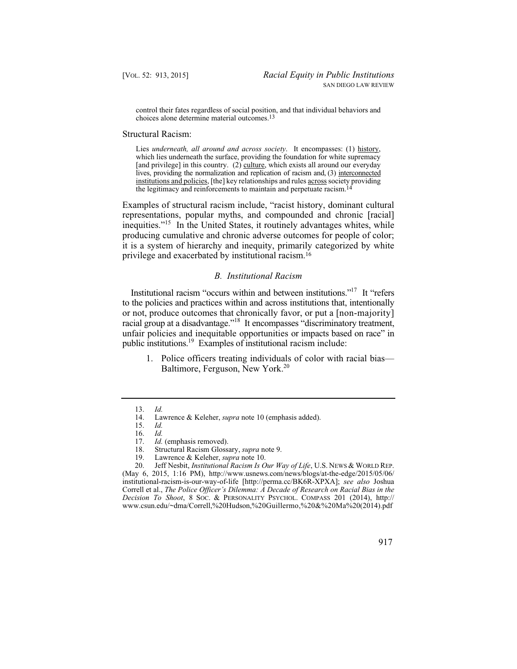control their fates regardless of social position, and that individual behaviors and choices alone determine material outcomes.13

#### Structural Racism:

Lies *underneath, all around and across society*. It encompasses: (1) history, which lies underneath the surface, providing the foundation for white supremacy [and privilege] in this country. (2) culture, which exists all around our everyday lives, providing the normalization and replication of racism and, (3) interconnected institutions and policies, [the] key relationships and rules across society providing the legitimacy and reinforcements to maintain and perpetuate racism.14

Examples of structural racism include, "racist history, dominant cultural representations, popular myths, and compounded and chronic [racial] inequities."<sup>15</sup> In the United States, it routinely advantages whites, while producing cumulative and chronic adverse outcomes for people of color; it is a system of hierarchy and inequity, primarily categorized by white privilege and exacerbated by institutional racism.16

#### *B. Institutional Racism*

 Institutional racism "occurs within and between institutions."17 It "refers unfair policies and inequitable opportunities or impacts based on race" in public institutions.<sup>19</sup> Examples of institutional racism include: to the policies and practices within and across institutions that, intentionally or not, produce outcomes that chronically favor, or put a [non-majority] racial group at a disadvantage."18 It encompasses "discriminatory treatment,

1. Police officers treating individuals of color with racial bias— Baltimore, Ferguson, New York.<sup>20</sup>

19. Lawrence & Keleher, *supra* note 10.

20. Jeff Nesbit, *Institutional Racism Is Our Way of Life*, U.S. NEWS & WORLD REP. (May 6, 2015, 1:16 PM), http://www.usnews.com/news/blogs/at-the-edge/2015/05/06/ institutional-racism-is-our-way-of-life [http://perma.cc/BK6R-XPXA]; *see also* Joshua Correll et al., *The Police Officer's Dilemma: A Decade of Research on Racial Bias in the Decision To Shoot*, 8 SOC. & PERSONALITY PSYCHOL. COMPASS 201 (2014), http:// www.csun.edu/~dma/Correll,%20Hudson,%20Guillermo,%20&%20Ma%20(2014).pdf

 <sup>13.</sup> *Id.* 

Lawrence & Keleher, *supra* note 10 (emphasis added). *Id.* 

<sup>15.</sup> *Id.*

 <sup>16.</sup> *Id.*

<sup>17.</sup> *Id.* (emphasis removed).<br>18. Structural Racism Gloss.

<sup>18.</sup> Structural Racism Glossary, *supra* note 9.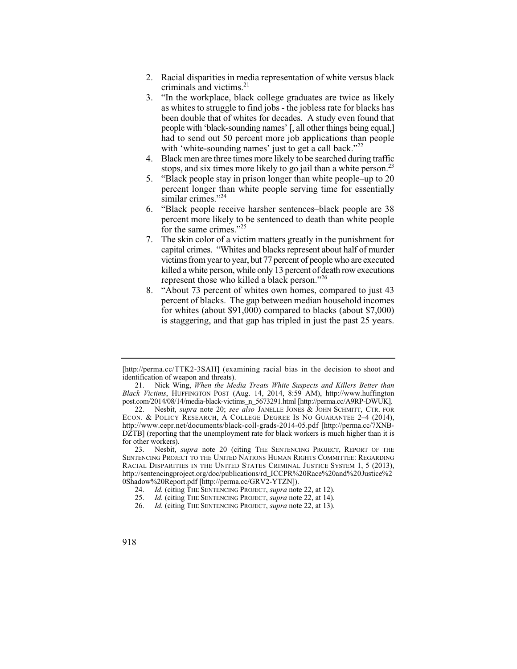- 2. Racial disparities in media representation of white versus black criminals and victims.<sup>21</sup>
- 3. "In the workplace, black college graduates are twice as likely as whites to struggle to find jobs - the jobless rate for blacks has been double that of whites for decades. A study even found that people with 'black-sounding names' [, all other things being equal,] had to send out 50 percent more job applications than people with 'white-sounding names' just to get a call back."<sup>22</sup>
- 4. Black men are three times more likely to be searched during traffic stops, and six times more likely to go jail than a white person.<sup>23</sup>
- 5. "Black people stay in prison longer than white people–up to 20 percent longer than white people serving time for essentially similar crimes."<sup>24</sup>
- 6. "Black people receive harsher sentences–black people are 38 percent more likely to be sentenced to death than white people for the same crimes."<sup>25</sup>
- 7. The skin color of a victim matters greatly in the punishment for capital crimes. "Whites and blacks represent about half of murder victims from year to year, but 77 percent of people who are executed killed a white person, while only 13 percent of death row executions represent those who killed a black person."26
- is staggering, and that gap has tripled in just the past 25 years. 8. "About 73 percent of whites own homes, compared to just 43 percent of blacks. The gap between median household incomes for whites (about \$91,000) compared to blacks (about \$7,000)

 is staggering, and that gap has tripled in just the past 25 years. [http://perma.cc/TTK2-3SAH] (examining racial bias in the decision to shoot and identification of weapon and threats).

 21. Nick Wing, *When the Media Treats White Suspects and Killers Better than Black Victims*, HUFFINGTON POST (Aug. 14, 2014, 8:59 AM), http://www.huffington post.com/2014/08/14/media-black-victims\_n\_5673291.html [http://perma.cc/A9RP-DWUK].

 22. Nesbit, *supra* note 20; *see also* JANELLE JONES & JOHN SCHMITT, CTR. FOR ECON. & POLICY RESEARCH, A COLLEGE DEGREE IS NO GUARANTEE 2-4 (2014), http://www.cepr.net/documents/black-coll-grads-2014-05.pdf [http://perma.cc/7XNB-DZTB] (reporting that the unemployment rate for black workers is much higher than it is for other workers).

<sup>23.</sup> Nesbit, *supra* note 20 (citing THE SENTENCING PROJECT, REPORT OF THE SENTENCING PROJECT TO THE UNITED NATIONS HUMAN RIGHTS COMMITTEE: REGARDING RACIAL DISPARITIES IN THE UNITED STATES CRIMINAL JUSTICE SYSTEM 1, 5 (2013), http://sentencingproject.org/doc/publications/rd\_ICCPR%20Race%20and%20Justice%2 0Shadow%20Report.pdf [http://perma.cc/GRV2-YTZN]).

<sup>24.</sup> *Id.* (citing THE SENTENCING PROJECT, *supra* note 22, at 12).<br>25. *Id.* (citing THE SENTENCING PROJECT, *supra* note 22, at 14).

<sup>25.</sup> *Id.* (citing THE SENTENCING PROJECT, *supra* note 22, at 14).

<sup>26.</sup> *Id.* (citing THE SENTENCING PROJECT, *supra* note 22, at 13).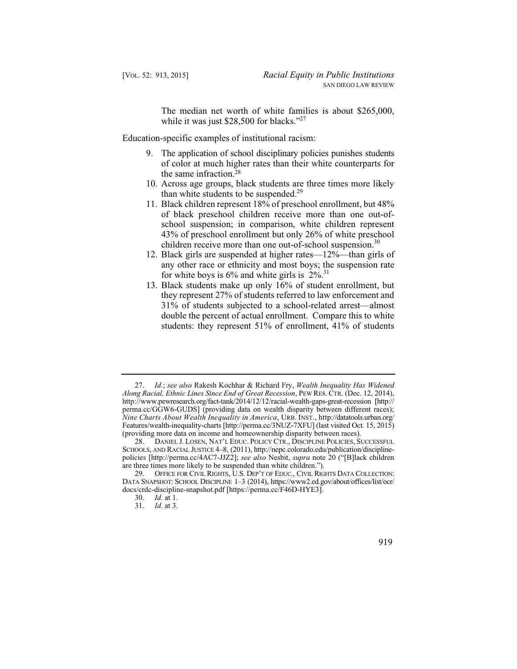The median net worth of white families is about \$265,000, while it was just \$28,500 for blacks."<sup>27</sup>

Education-specific examples of institutional racism:

- 9. The application of school disciplinary policies punishes students of color at much higher rates than their white counterparts for the same infraction.28
- 10. Across age groups, black students are three times more likely than white students to be suspended. $29$
- 43% of preschool enrollment but only 26% of white preschool 11. Black children represent 18% of preschool enrollment, but 48% of black preschool children receive more than one out-ofschool suspension; in comparison, white children represent children receive more than one out-of-school suspension.<sup>30</sup>
- 12. Black girls are suspended at higher rates—12%—than girls of any other race or ethnicity and most boys; the suspension rate for white boys is  $6\%$  and white girls is  $2\%$ .<sup>31</sup>
- 13. Black students make up only 16% of student enrollment, but they represent 27% of students referred to law enforcement and 31% of students subjected to a school-related arrest—almost double the percent of actual enrollment. Compare this to white students: they represent 51% of enrollment, 41% of students

<sup>27.</sup> *Id.*; *see also* Rakesh Kochhar & Richard Fry, *Wealth Inequality Has Widened Along Racial, Ethnic Lines Since End of Great Recession*, PEW RES. CTR. (Dec. 12, 2014), http://www.pewresearch.org/fact-tank/2014/12/12/racial-wealth-gaps-great-recession [http:// perma.cc/GGW6-GUDS] (providing data on wealth disparity between different races); *Nine Charts About Wealth Inequality in America*, URB. INST., http://datatools.urban.org/ Features/wealth-inequality-charts [http://perma.cc/3NUZ-7XFU] (last visited Oct. 15, 2015) (providing more data on income and homeownership disparity between races).

 <sup>28.</sup> DANIEL J. LOSEN, NAT'L EDUC. POLICY CTR., DISCIPLINE POLICIES, SUCCESSFUL SCHOOLS, AND RACIAL JUSTICE 4-8, (2011), http://nepc.colorado.edu/publication/disciplinepolicies [http://perma.cc/4AC7-JJZ2]; *see also* Nesbit, *supra* note 20 ("[B]lack children are three times more likely to be suspended than white children.").

 <sup>29.</sup> OFFICE FOR CIVIL RIGHTS, U.S. DEP'T OF EDUC., CIVIL RIGHTS DATA COLLECTION: DATA SNAPSHOT: SCHOOL DISCIPLINE 1–3 (2014), https://www2.ed.gov/about/offices/list/ocr/ docs/crdc-discipline-snapshot.pdf [https://perma.cc/F46D-HYE3].

<sup>30.</sup> *Id.* at 1.

<sup>31.</sup> *Id.* at 3.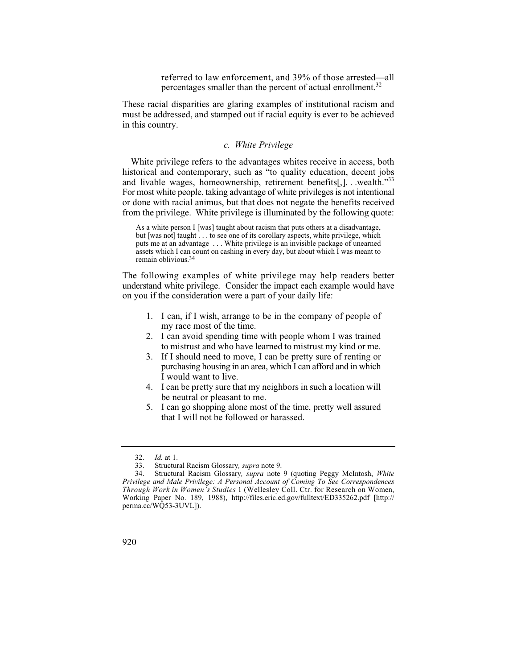referred to law enforcement, and 39% of those arrested—all percentages smaller than the percent of actual enrollment.<sup>32</sup>

These racial disparities are glaring examples of institutional racism and must be addressed, and stamped out if racial equity is ever to be achieved in this country.

## *c. White Privilege*

White privilege refers to the advantages whites receive in access, both historical and contemporary, such as "to quality education, decent jobs and livable wages, homeownership, retirement benefits[,]. . .wealth."33 For most white people, taking advantage of white privileges is not intentional or done with racial animus, but that does not negate the benefits received from the privilege. White privilege is illuminated by the following quote:

 but [was not] taught . . . to see one of its corollary aspects, white privilege, which As a white person I [was] taught about racism that puts others at a disadvantage, puts me at an advantage . . . White privilege is an invisible package of unearned assets which I can count on cashing in every day, but about which I was meant to remain oblivious.34

The following examples of white privilege may help readers better understand white privilege. Consider the impact each example would have on you if the consideration were a part of your daily life:

- 1. I can, if I wish, arrange to be in the company of people of my race most of the time.
- 2. I can avoid spending time with people whom I was trained to mistrust and who have learned to mistrust my kind or me.
- 3. If I should need to move, I can be pretty sure of renting or purchasing housing in an area, which I can afford and in which I would want to live.
- 4. I can be pretty sure that my neighbors in such a location will be neutral or pleasant to me.
- 5. I can go shopping alone most of the time, pretty well assured that I will not be followed or harassed.

 <sup>32.</sup> *Id.* at 1.

<sup>33.</sup> Structural Racism Glossary*, supra* note 9.

 *Through Work in Women's Studies* 1 (Wellesley Coll. Ctr. for Research on Women, 34. Structural Racism Glossary*, supra* note 9 (quoting Peggy McIntosh, *White Privilege and Male Privilege: A Personal Account of Coming To See Correspondences*  Working Paper No. 189, 1988), http://files.eric.ed.gov/fulltext/ED335262.pdf [http:// perma.cc/WQ53-3UVL]).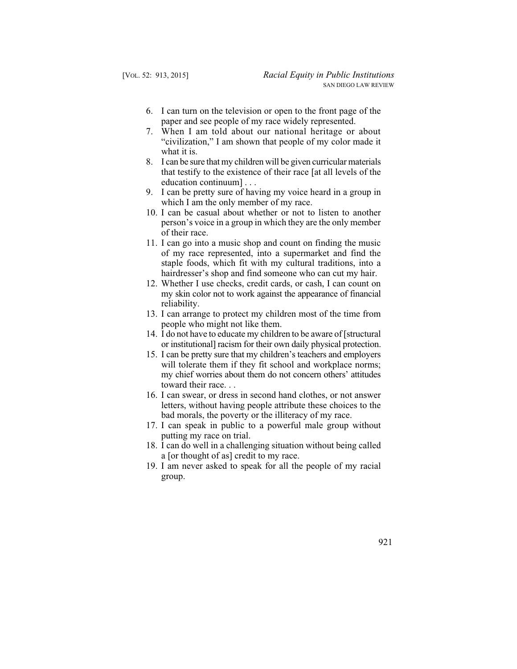- 6. I can turn on the television or open to the front page of the paper and see people of my race widely represented.
- 7. When I am told about our national heritage or about "civilization," I am shown that people of my color made it what it is.
- 8. I can be sure that my children will be given curricular materials that testify to the existence of their race [at all levels of the education continuum] . . .
- 9. I can be pretty sure of having my voice heard in a group in which I am the only member of my race.
- 10. I can be casual about whether or not to listen to another person's voice in a group in which they are the only member of their race.
- 11. I can go into a music shop and count on finding the music of my race represented, into a supermarket and find the staple foods, which fit with my cultural traditions, into a hairdresser's shop and find someone who can cut my hair.
- 12. Whether I use checks, credit cards, or cash, I can count on my skin color not to work against the appearance of financial reliability.
- 13. I can arrange to protect my children most of the time from people who might not like them.
- 14. I do not have to educate my children to be aware of [structural or institutional] racism for their own daily physical protection.
- 15. I can be pretty sure that my children's teachers and employers will tolerate them if they fit school and workplace norms; my chief worries about them do not concern others' attitudes toward their race. . .
- bad morals, the poverty or the illiteracy of my race. 16. I can swear, or dress in second hand clothes, or not answer letters, without having people attribute these choices to the
- 17. I can speak in public to a powerful male group without putting my race on trial.
- 18. I can do well in a challenging situation without being called a [or thought of as] credit to my race.
- 19. I am never asked to speak for all the people of my racial group.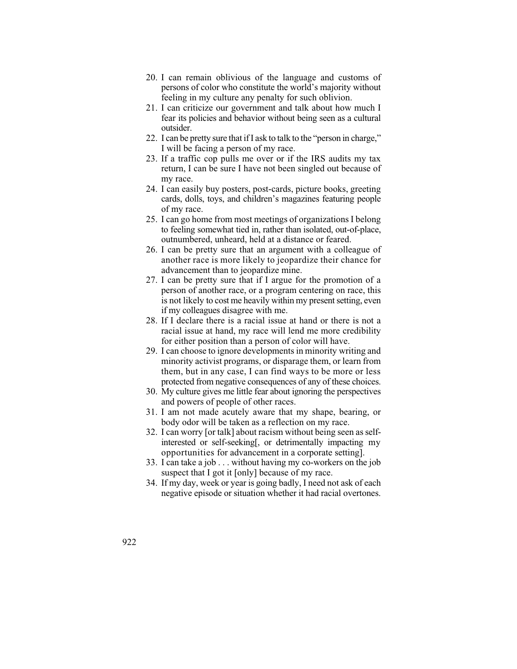- 20. I can remain oblivious of the language and customs of persons of color who constitute the world's majority without feeling in my culture any penalty for such oblivion.
- 21. I can criticize our government and talk about how much I fear its policies and behavior without being seen as a cultural outsider.
- 22. I can be pretty sure that if I ask to talk to the "person in charge," I will be facing a person of my race.
- 23. If a traffic cop pulls me over or if the IRS audits my tax return, I can be sure I have not been singled out because of my race.
- 24. I can easily buy posters, post-cards, picture books, greeting cards, dolls, toys, and children's magazines featuring people of my race.
- 25. I can go home from most meetings of organizations I belong to feeling somewhat tied in, rather than isolated, out-of-place, outnumbered, unheard, held at a distance or feared.
- 26. I can be pretty sure that an argument with a colleague of another race is more likely to jeopardize their chance for advancement than to jeopardize mine.
- is not likely to cost me heavily within my present setting, even if my colleagues disagree with me. 27. I can be pretty sure that if I argue for the promotion of a person of another race, or a program centering on race, this
- 28. If I declare there is a racial issue at hand or there is not a racial issue at hand, my race will lend me more credibility for either position than a person of color will have.
- 29. I can choose to ignore developments in minority writing and minority activist programs, or disparage them, or learn from them, but in any case, I can find ways to be more or less protected from negative consequences of any of these choices.
- 30. My culture gives me little fear about ignoring the perspectives and powers of people of other races.
- 31. I am not made acutely aware that my shape, bearing, or body odor will be taken as a reflection on my race.
- 32. I can worry [or talk] about racism without being seen as selfinterested or self-seeking[, or detrimentally impacting my opportunities for advancement in a corporate setting].
- 33. I can take a job . . . without having my co-workers on the job suspect that I got it [only] because of my race.
- 34. If my day, week or year is going badly, I need not ask of each negative episode or situation whether it had racial overtones.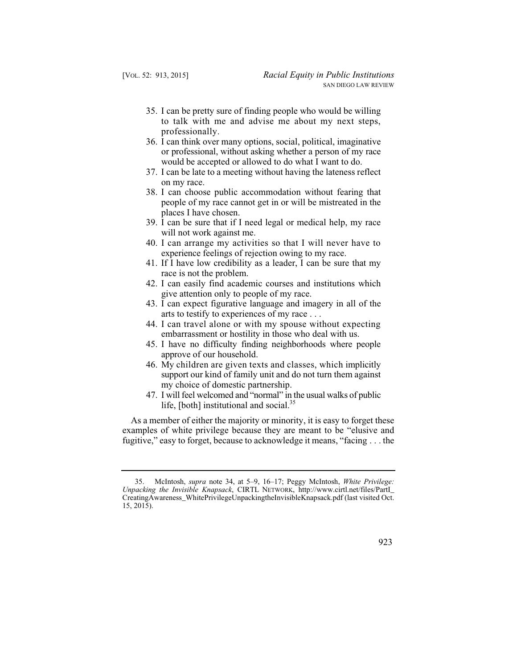- 35. I can be pretty sure of finding people who would be willing to talk with me and advise me about my next steps, professionally.
- 36. I can think over many options, social, political, imaginative or professional, without asking whether a person of my race would be accepted or allowed to do what I want to do.
- 37. I can be late to a meeting without having the lateness reflect on my race.
- 38. I can choose public accommodation without fearing that people of my race cannot get in or will be mistreated in the places I have chosen.
- 39. I can be sure that if I need legal or medical help, my race will not work against me.
- 40. I can arrange my activities so that I will never have to experience feelings of rejection owing to my race.
- 41. If I have low credibility as a leader, I can be sure that my race is not the problem.
- 42. I can easily find academic courses and institutions which give attention only to people of my race.
- 43. I can expect figurative language and imagery in all of the arts to testify to experiences of my race . . .
- 44. I can travel alone or with my spouse without expecting embarrassment or hostility in those who deal with us.
- 45. I have no difficulty finding neighborhoods where people approve of our household.
- support our kind of family unit and do not turn them against 46. My children are given texts and classes, which implicitly my choice of domestic partnership.
- 47. I will feel welcomed and "normal" in the usual walks of public life, [both] institutional and social.<sup>35</sup>

As a member of either the majority or minority, it is easy to forget these examples of white privilege because they are meant to be "elusive and fugitive," easy to forget, because to acknowledge it means, "facing . . . the

<sup>35.</sup> McIntosh, *supra* note 34, at 5–9, 16–17; Peggy McIntosh, *White Privilege: Unpacking the Invisible Knapsack*, CIRTL NETWORK, http://www.cirtl.net/files/PartI\_ CreatingAwareness\_WhitePrivilegeUnpackingtheInvisibleKnapsack.pdf (last visited Oct. 15, 2015).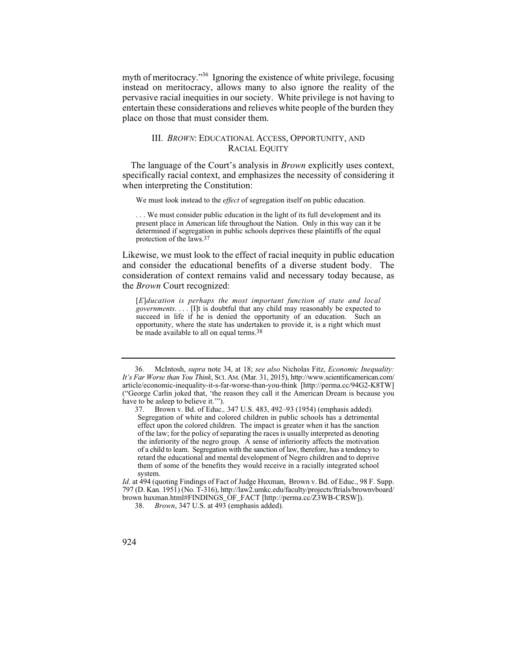myth of meritocracy."36 Ignoring the existence of white privilege, focusing instead on meritocracy, allows many to also ignore the reality of the pervasive racial inequities in our society. White privilege is not having to entertain these considerations and relieves white people of the burden they place on those that must consider them.

# III. *BROWN*: EDUCATIONAL ACCESS, OPPORTUNITY, AND RACIAL EQUITY

The language of the Court's analysis in *Brown* explicitly uses context, specifically racial context, and emphasizes the necessity of considering it when interpreting the Constitution:

We must look instead to the *effect* of segregation itself on public education.

 present place in American life throughout the Nation. Only in this way can it be . . . We must consider public education in the light of its full development and its determined if segregation in public schools deprives these plaintiffs of the equal protection of the laws.37

Likewise, we must look to the effect of racial inequity in public education and consider the educational benefits of a diverse student body. The consideration of context remains valid and necessary today because, as the *Brown* Court recognized:

 *governments*. . . . [I]t is doubtful that any child may reasonably be expected to [*E*]*ducation is perhaps the most important function of state and local*  succeed in life if he is denied the opportunity of an education. Such an opportunity, where the state has undertaken to provide it, is a right which must be made available to all on equal terms.<sup>38</sup>

*Id.* at 494 (quoting Findings of Fact of Judge Huxman, Brown v. Bd. of Educ., 98 F. Supp. 797 (D. Kan. 1951) (No. T-316), http://law2.umkc.edu/faculty/projects/ftrials/brownvboard/ brown huxman.html#FINDINGS\_OF\_FACT [http://perma.cc/Z3WB-CRSW]).

 <sup>36.</sup> McIntosh, *supra* note 34, at 18; *see also* Nicholas Fitz, *Economic Inequality: It's Far Worse than You Think*, SCI. AM. (Mar. 31, 2015), http://www.scientificamerican.com/ article/economic-inequality-it-s-far-worse-than-you-think [http://perma.cc/94G2-K8TW] ("George Carlin joked that, 'the reason they call it the American Dream is because you have to be asleep to believe it.'").

 of a child to learn. Segregation with the sanction of law, therefore, has a tendency to 37. Brown v. Bd. of Educ.*,* 347 U.S. 483, 492–93 (1954) (emphasis added). Segregation of white and colored children in public schools has a detrimental effect upon the colored children. The impact is greater when it has the sanction of the law; for the policy of separating the races is usually interpreted as denoting the inferiority of the negro group. A sense of inferiority affects the motivation retard the educational and mental development of Negro children and to deprive them of some of the benefits they would receive in a racially integrated school system.

<sup>38.</sup> *Brown*, 347 U.S. at 493 (emphasis added).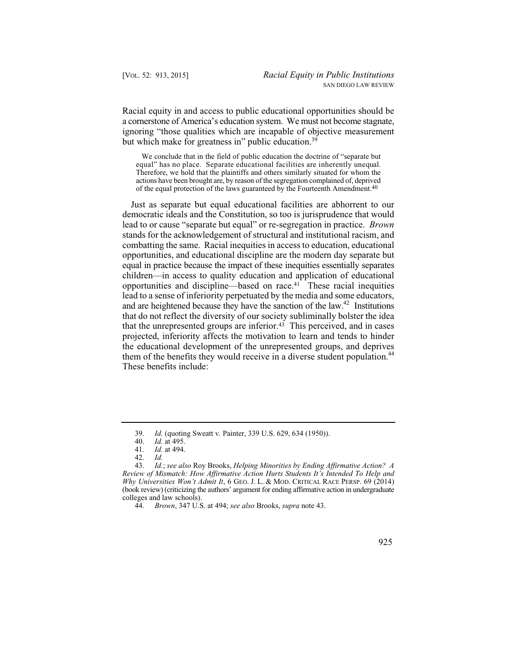Racial equity in and access to public educational opportunities should be a cornerstone of America's education system. We must not become stagnate, ignoring "those qualities which are incapable of objective measurement but which make for greatness in" public education.<sup>39</sup>

 equal" has no place. Separate educational facilities are inherently unequal. We conclude that in the field of public education the doctrine of "separate but Therefore, we hold that the plaintiffs and others similarly situated for whom the actions have been brought are, by reason of the segregation complained of, deprived of the equal protection of the laws guaranteed by the Fourteenth Amendment.40

Just as separate but equal educational facilities are abhorrent to our democratic ideals and the Constitution, so too is jurisprudence that would lead to or cause "separate but equal" or re-segregation in practice. *Brown*  stands for the acknowledgement of structural and institutional racism, and combatting the same. Racial inequities in access to education, educational opportunities, and educational discipline are the modern day separate but equal in practice because the impact of these inequities essentially separates children—in access to quality education and application of educational opportunities and discipline—based on race.41 These racial inequities lead to a sense of inferiority perpetuated by the media and some educators, and are heightened because they have the sanction of the law.<sup>42</sup> Institutions that do not reflect the diversity of our society subliminally bolster the idea that the unrepresented groups are inferior.<sup>43</sup> This perceived, and in cases projected, inferiority affects the motivation to learn and tends to hinder the educational development of the unrepresented groups, and deprives them of the benefits they would receive in a diverse student population.<sup>44</sup> These benefits include:

<sup>39.</sup> *Id.* (quoting Sweatt v. Painter, 339 U.S. 629, 634 (1950)).

<sup>40.</sup> *Id.* at 495.

*Id.* at 494.<br>*Id.* 

 *Why Universities Won't Admit It*, 6 GEO. J. L. & MOD. CRITICAL RACE PERSP. 69 (2014) 42. *Id.* 43. *Id.*; *see also* Roy Brooks, *Helping Minorities by Ending Affirmative Action? A Review of Mismatch: How Affirmative Action Hurts Students It's Intended To Help and*  (book review) (criticizing the authors' argument for ending affirmative action in undergraduate colleges and law schools).

<sup>44.</sup> *Brown*, 347 U.S. at 494; *see also* Brooks, *supra* note 43.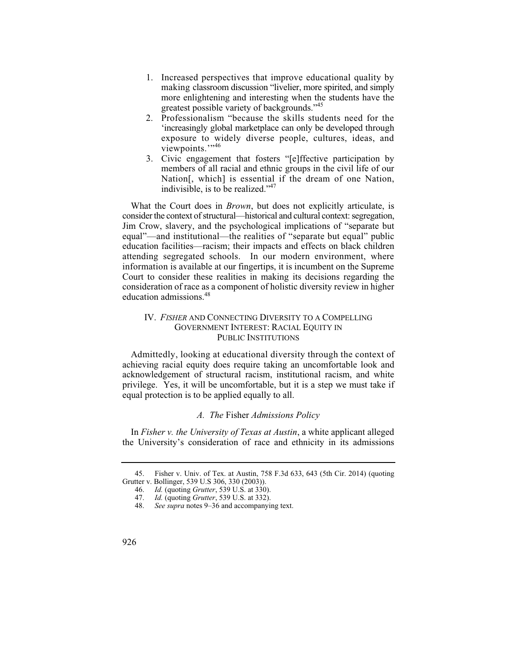- making classroom discussion "livelier, more spirited, and simply 1. Increased perspectives that improve educational quality by more enlightening and interesting when the students have the greatest possible variety of backgrounds."<sup>45</sup>
- 2. Professionalism "because the skills students need for the 'increasingly global marketplace can only be developed through exposure to widely diverse people, cultures, ideas, and viewpoints."<sup>46</sup>
- 3. Civic engagement that fosters "[e]ffective participation by members of all racial and ethnic groups in the civil life of our Nation[, which] is essential if the dream of one Nation, indivisible, is to be realized."47

 consider the context of structural—historical and cultural context: segregation, What the Court does in *Brown*, but does not explicitly articulate, is Jim Crow, slavery, and the psychological implications of "separate but equal"—and institutional—the realities of "separate but equal" public education facilities—racism; their impacts and effects on black children attending segregated schools. In our modern environment, where information is available at our fingertips, it is incumbent on the Supreme Court to consider these realities in making its decisions regarding the consideration of race as a component of holistic diversity review in higher education admissions.<sup>48</sup>

# GOVERNMENT INTEREST: RACIAL EQUITY IN IV. *FISHER* AND CONNECTING DIVERSITY TO A COMPELLING PUBLIC INSTITUTIONS

Admittedly, looking at educational diversity through the context of achieving racial equity does require taking an uncomfortable look and acknowledgement of structural racism, institutional racism, and white privilege. Yes, it will be uncomfortable, but it is a step we must take if equal protection is to be applied equally to all.

## *A. The* Fisher *Admissions Policy*

In *Fisher v. the University of Texas at Austin*, a white applicant alleged the University's consideration of race and ethnicity in its admissions

<sup>45.</sup> Fisher v. Univ. of Tex. at Austin, 758 F.3d 633, 643 (5th Cir. 2014) (quoting Grutter v. Bollinger, 539 U.S 306, 330 (2003)).

<sup>46.</sup> *Id.* (quoting *Grutter*, 539 U.S. at 330).

<sup>47.</sup> *Id.* (quoting *Grutter*, 539 U.S. at 332).

See supra notes 9–36 and accompanying text.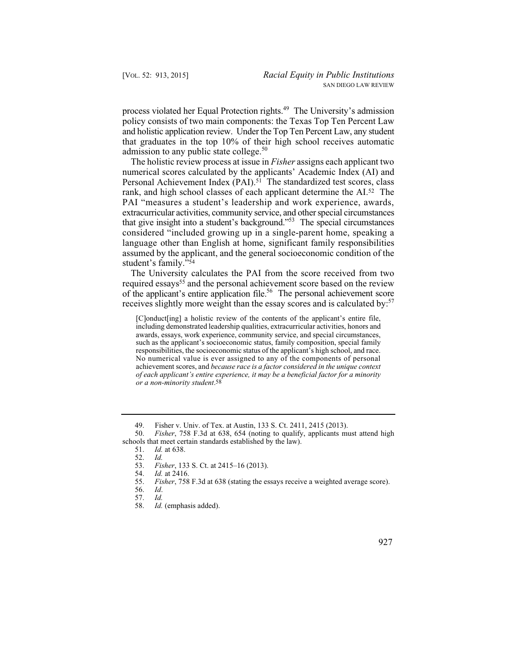process violated her Equal Protection rights.49 The University's admission policy consists of two main components: the Texas Top Ten Percent Law and holistic application review. Under the Top Ten Percent Law, any student that graduates in the top 10% of their high school receives automatic admission to any public state college. $50$ 

 rank, and high school classes of each applicant determine the AI.52 The The holistic review process at issue in *Fisher* assigns each applicant two numerical scores calculated by the applicants' Academic Index (AI) and Personal Achievement Index (PAI).<sup>51</sup> The standardized test scores, class PAI "measures a student's leadership and work experience, awards, extracurricular activities, community service, and other special circumstances that give insight into a student's background."53 The special circumstances considered "included growing up in a single-parent home, speaking a language other than English at home, significant family responsibilities assumed by the applicant, and the general socioeconomic condition of the student's family."54

The University calculates the PAI from the score received from two required essays<sup>55</sup> and the personal achievement score based on the review of the applicant's entire application file.56 The personal achievement score receives slightly more weight than the essay scores and is calculated by:<sup>57</sup>

[C]onduct[ing] a holistic review of the contents of the applicant's entire file, including demonstrated leadership qualities, extracurricular activities, honors and awards, essays, work experience, community service, and special circumstances, such as the applicant's socioeconomic status, family composition, special family responsibilities, the socioeconomic status of the applicant's high school, and race. No numerical value is ever assigned to any of the components of personal achievement scores, and *because race is a factor considered in the unique context of each applicant's entire experience, it may be a beneficial factor for a minority or a non-minority student*.58

49. Fisher v. Univ. of Tex. at Austin, 133 S. Ct. 2411, 2415 (2013).

50. *Fisher*, 758 F.3d at 638, 654 (noting to qualify, applicants must attend high schools that meet certain standards established by the law).<br>51. Id. at 638.

*Id.* at 638.

53. *Fisher*, 133 S. Ct. at 2415–16 (2013).

Id. (emphasis added).

<sup>52.</sup> *Id.*

<sup>54.</sup> *Id.* at 2416.

Fisher, 758 F.3d at 638 (stating the essays receive a weighted average score). *Id*.

<sup>56.</sup> *Id*.

 <sup>57.</sup> *Id.*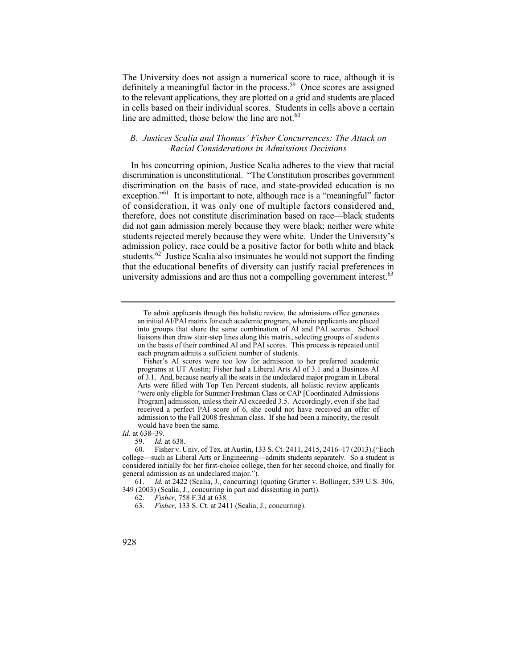The University does not assign a numerical score to race, although it is definitely a meaningful factor in the process.<sup>59</sup> Once scores are assigned to the relevant applications, they are plotted on a grid and students are placed in cells based on their individual scores. Students in cells above a certain line are admitted; those below the line are not. $60$ 

# *B. Justices Scalia and Thomas' Fisher Concurrences: The Attack on Racial Considerations in Admissions Decisions*

 of consideration, it was only one of multiple factors considered and, In his concurring opinion, Justice Scalia adheres to the view that racial discrimination is unconstitutional. "The Constitution proscribes government discrimination on the basis of race, and state-provided education is no exception."<sup>61</sup> It is important to note, although race is a "meaningful" factor therefore, does not constitute discrimination based on race—black students did not gain admission merely because they were black; neither were white students rejected merely because they were white. Under the University's admission policy, race could be a positive factor for both white and black students.<sup>62</sup> Justice Scalia also insinuates he would not support the finding that the educational benefits of diversity can justify racial preferences in university admissions and are thus not a compelling government interest.<sup>63</sup>

*Id.* at 638–39.

To admit applicants through this holistic review, the admissions office generates an initial AI/PAI matrix for each academic program, wherein applicants are placed into groups that share the same combination of AI and PAI scores. School liaisons then draw stair-step lines along this matrix, selecting groups of students on the basis of their combined AI and PAI scores. This process is repeated until each program admits a sufficient number of students.

 of 3.1. And, because nearly all the seats in the undeclared major program in Liberal Arts were filled with Top Ten Percent students, all holistic review applicants Fisher's AI scores were too low for admission to her preferred academic programs at UT Austin; Fisher had a Liberal Arts AI of 3.1 and a Business AI "were only eligible for Summer Freshman Class or CAP [Coordinated Admissions Program] admission, unless their AI exceeded 3.5. Accordingly, even if she had received a perfect PAI score of 6, she could not have received an offer of admission to the Fall 2008 freshman class. If she had been a minority, the result would have been the same.

<sup>59.</sup> *Id.* at 638.

<sup>60.</sup> Fisher v. Univ. of Tex. at Austin, 133 S. Ct. 2411, 2415, 2416–17 (2013).("Each college—such as Liberal Arts or Engineering—admits students separately. So a student is considered initially for her first-choice college, then for her second choice, and finally for general admission as an undeclared major.").

<sup>61.</sup> *Id.* at 2422 (Scalia, J., concurring) (quoting Grutter v. Bollinger, 539 U.S. 306, 349 (2003) (Scalia, J., concurring in part and dissenting in part)).

<sup>62.</sup> *Fisher*, 758 F.3d at 638.

<sup>63.</sup> *Fisher*, 133 S. Ct. at 2411 (Scalia, J., concurring).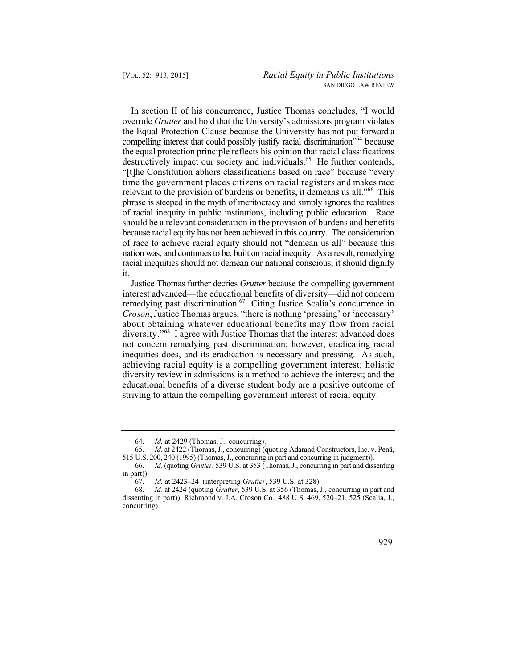the Equal Protection Clause because the University has not put forward a time the government places citizens on racial registers and makes race phrase is steeped in the myth of meritocracy and simply ignores the realities of racial inequity in public institutions, including public education. Race In section II of his concurrence, Justice Thomas concludes, "I would overrule *Grutter* and hold that the University's admissions program violates compelling interest that could possibly justify racial discrimination<sup>"64</sup> because the equal protection principle reflects his opinion that racial classifications destructively impact our society and individuals.<sup>65</sup> He further contends, "[t]he Constitution abhors classifications based on race" because "every relevant to the provision of burdens or benefits, it demeans us all."<sup>66</sup> This should be a relevant consideration in the provision of burdens and benefits because racial equity has not been achieved in this country. The consideration of race to achieve racial equity should not "demean us all" because this nation was, and continues to be, built on racial inequity. As a result, remedying racial inequities should not demean our national conscious; it should dignify it.

Justice Thomas further decries *Grutter* because the compelling government interest advanced—the educational benefits of diversity—did not concern remedying past discrimination.<sup>67</sup> Citing Justice Scalia's concurrence in *Croson*, Justice Thomas argues, "there is nothing 'pressing' or 'necessary' about obtaining whatever educational benefits may flow from racial diversity."68 I agree with Justice Thomas that the interest advanced does not concern remedying past discrimination; however, eradicating racial inequities does, and its eradication is necessary and pressing. As such, achieving racial equity is a compelling government interest; holistic diversity review in admissions is a method to achieve the interest; and the educational benefits of a diverse student body are a positive outcome of striving to attain the compelling government interest of racial equity.

<sup>64.</sup> *Id.* at 2429 (Thomas, J., concurring).

<sup>65.</sup> *Id.* at 2422 (Thomas, J., concurring) (quoting Adarand Constructors, Inc. v. Penã, 515 U.S. 200, 240 (1995) (Thomas, J., concurring in part and concurring in judgment)).

 66. *Id.* (quoting *Grutter*, 539 U.S. at 353 (Thomas, J., concurring in part and dissenting in part)).<br> $67.$ 

 67. *Id.* at 2423–24 (interpreting *Grutter*, 539 U.S. at 328).

<sup>68.</sup> *Id.* at 2424 (quoting *Grutter*, 539 U.S. at 356 (Thomas, J., concurring in part and dissenting in part)); Richmond v. J.A. Croson Co., 488 U.S. 469, 520–21, 525 (Scalia, J., concurring).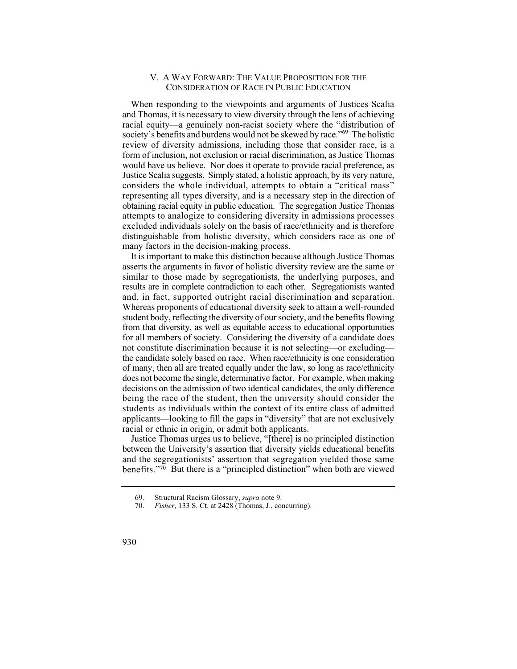## V. A WAY FORWARD: THE VALUE PROPOSITION FOR THE CONSIDERATION OF RACE IN PUBLIC EDUCATION

 form of inclusion, not exclusion or racial discrimination, as Justice Thomas Justice Scalia suggests. Simply stated, a holistic approach, by its very nature, representing all types diversity, and is a necessary step in the direction of When responding to the viewpoints and arguments of Justices Scalia and Thomas, it is necessary to view diversity through the lens of achieving racial equity—a genuinely non-racist society where the "distribution of society's benefits and burdens would not be skewed by race."<sup>69</sup> The holistic review of diversity admissions, including those that consider race, is a would have us believe. Nor does it operate to provide racial preference, as considers the whole individual, attempts to obtain a "critical mass" obtaining racial equity in public education. The segregation Justice Thomas attempts to analogize to considering diversity in admissions processes excluded individuals solely on the basis of race/ethnicity and is therefore distinguishable from holistic diversity, which considers race as one of many factors in the decision-making process.

 and, in fact, supported outright racial discrimination and separation. It is important to make this distinction because although Justice Thomas asserts the arguments in favor of holistic diversity review are the same or similar to those made by segregationists, the underlying purposes, and results are in complete contradiction to each other. Segregationists wanted Whereas proponents of educational diversity seek to attain a well-rounded student body, reflecting the diversity of our society, and the benefits flowing from that diversity, as well as equitable access to educational opportunities for all members of society. Considering the diversity of a candidate does not constitute discrimination because it is not selecting—or excluding the candidate solely based on race. When race/ethnicity is one consideration of many, then all are treated equally under the law, so long as race/ethnicity does not become the single, determinative factor. For example, when making decisions on the admission of two identical candidates, the only difference being the race of the student, then the university should consider the students as individuals within the context of its entire class of admitted applicants—looking to fill the gaps in "diversity" that are not exclusively racial or ethnic in origin, or admit both applicants.

Justice Thomas urges us to believe, "[there] is no principled distinction between the University's assertion that diversity yields educational benefits and the segregationists' assertion that segregation yielded those same benefits."70 But there is a "principled distinction" when both are viewed

<sup>69.</sup> Structural Racism Glossary, *supra* note 9.

*Fisher*, 133 S. Ct. at 2428 (Thomas, J., concurring).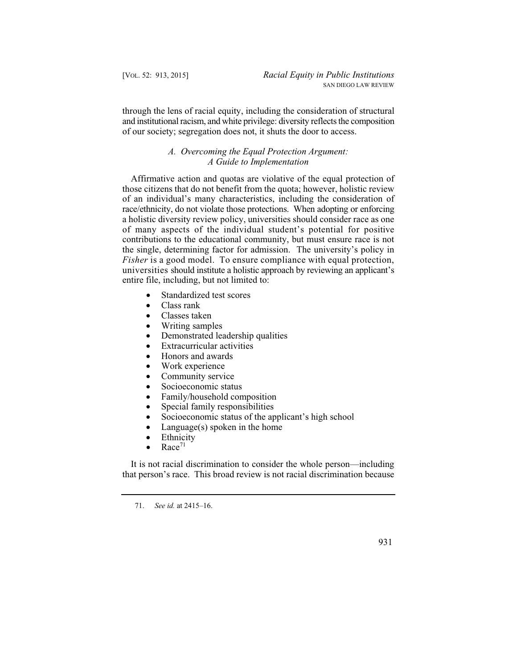through the lens of racial equity, including the consideration of structural and institutional racism, and white privilege: diversity reflects the composition of our society; segregation does not, it shuts the door to access.

# *A. Overcoming the Equal Protection Argument: A Guide to Implementation*

 of many aspects of the individual student's potential for positive Affirmative action and quotas are violative of the equal protection of those citizens that do not benefit from the quota; however, holistic review of an individual's many characteristics, including the consideration of race/ethnicity, do not violate those protections. When adopting or enforcing a holistic diversity review policy, universities should consider race as one contributions to the educational community, but must ensure race is not the single, determining factor for admission. The university's policy in *Fisher* is a good model. To ensure compliance with equal protection, universities should institute a holistic approach by reviewing an applicant's entire file, including, but not limited to:

- Standardized test scores
- $\bullet$  Class rank
- $\bullet$  Classes taken
- Writing samples
- Demonstrated leadership qualities
- $\bullet$  Extracurricular activities
- Honors and awards
- Work experience
- Community service
- Socioeconomic status
- $\bullet$  Family/household composition
- $\bullet$  Special family responsibilities
- $\bullet$  Socioeconomic status of the applicant's high school
- Language(s) spoken in the home
- Ethnicity<br>Race<sup>71</sup>
- $Race^{71}$

It is not racial discrimination to consider the whole person—including that person's race. This broad review is not racial discrimination because

<sup>71.</sup> *See id.* at 2415–16.